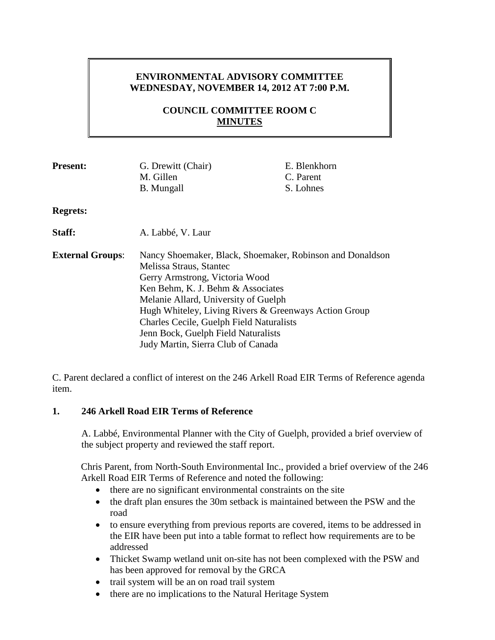# **ENVIRONMENTAL ADVISORY COMMITTEE WEDNESDAY, NOVEMBER 14, 2012 AT 7:00 P.M.**

# **COUNCIL COMMITTEE ROOM C MINUTES**

| <b>Present:</b>         | G. Drewitt (Chair)                                        | E. Blenkhorn |
|-------------------------|-----------------------------------------------------------|--------------|
|                         | M. Gillen                                                 | C. Parent    |
|                         | <b>B.</b> Mungall                                         | S. Lohnes    |
| <b>Regrets:</b>         |                                                           |              |
| Staff:                  | A. Labbé, V. Laur                                         |              |
| <b>External Groups:</b> | Nancy Shoemaker, Black, Shoemaker, Robinson and Donaldson |              |
|                         | Melissa Straus, Stantec                                   |              |
|                         | Gerry Armstrong, Victoria Wood                            |              |
|                         | Ken Behm, K. J. Behm & Associates                         |              |
|                         | Melanie Allard, University of Guelph                      |              |
|                         | Hugh Whiteley, Living Rivers & Greenways Action Group     |              |
|                         | Charles Cecile, Guelph Field Naturalists                  |              |
|                         | Jenn Bock, Guelph Field Naturalists                       |              |
|                         | Judy Martin, Sierra Club of Canada                        |              |

C. Parent declared a conflict of interest on the 246 Arkell Road EIR Terms of Reference agenda item.

### **1. 246 Arkell Road EIR Terms of Reference**

A. Labbé, Environmental Planner with the City of Guelph, provided a brief overview of the subject property and reviewed the staff report.

Chris Parent, from North-South Environmental Inc., provided a brief overview of the 246 Arkell Road EIR Terms of Reference and noted the following:

- there are no significant environmental constraints on the site
- the draft plan ensures the 30m setback is maintained between the PSW and the road
- to ensure everything from previous reports are covered, items to be addressed in the EIR have been put into a table format to reflect how requirements are to be addressed
- Thicket Swamp wetland unit on-site has not been complexed with the PSW and has been approved for removal by the GRCA
- trail system will be an on road trail system
- there are no implications to the Natural Heritage System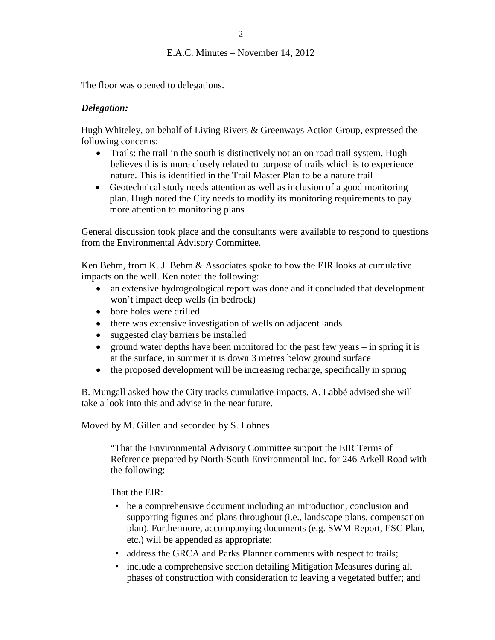The floor was opened to delegations.

### *Delegation:*

Hugh Whiteley, on behalf of Living Rivers & Greenways Action Group, expressed the following concerns:

- Trails: the trail in the south is distinctively not an on road trail system. Hugh believes this is more closely related to purpose of trails which is to experience nature. This is identified in the Trail Master Plan to be a nature trail
- Geotechnical study needs attention as well as inclusion of a good monitoring plan. Hugh noted the City needs to modify its monitoring requirements to pay more attention to monitoring plans

General discussion took place and the consultants were available to respond to questions from the Environmental Advisory Committee.

Ken Behm, from K. J. Behm & Associates spoke to how the EIR looks at cumulative impacts on the well. Ken noted the following:

- an extensive hydrogeological report was done and it concluded that development won't impact deep wells (in bedrock)
- bore holes were drilled
- there was extensive investigation of wells on adjacent lands
- suggested clay barriers be installed
- ground water depths have been monitored for the past few years in spring it is at the surface, in summer it is down 3 metres below ground surface
- the proposed development will be increasing recharge, specifically in spring

B. Mungall asked how the City tracks cumulative impacts. A. Labbé advised she will take a look into this and advise in the near future.

Moved by M. Gillen and seconded by S. Lohnes

"That the Environmental Advisory Committee support the EIR Terms of Reference prepared by North-South Environmental Inc. for 246 Arkell Road with the following:

That the EIR:

- be a comprehensive document including an introduction, conclusion and supporting figures and plans throughout (i.e., landscape plans, compensation plan). Furthermore, accompanying documents (e.g. SWM Report, ESC Plan, etc.) will be appended as appropriate;
- address the GRCA and Parks Planner comments with respect to trails;
- include a comprehensive section detailing Mitigation Measures during all phases of construction with consideration to leaving a vegetated buffer; and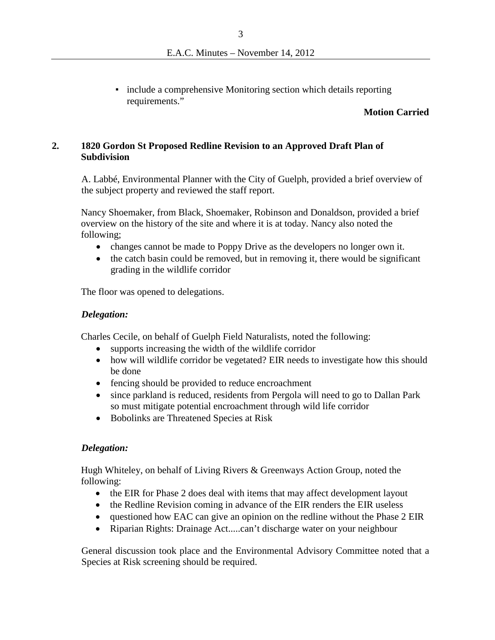• include a comprehensive Monitoring section which details reporting requirements."

### **Motion Carried**

## **2. 1820 Gordon St Proposed Redline Revision to an Approved Draft Plan of Subdivision**

A. Labbé, Environmental Planner with the City of Guelph, provided a brief overview of the subject property and reviewed the staff report.

Nancy Shoemaker, from Black, Shoemaker, Robinson and Donaldson, provided a brief overview on the history of the site and where it is at today. Nancy also noted the following;

- changes cannot be made to Poppy Drive as the developers no longer own it.
- the catch basin could be removed, but in removing it, there would be significant grading in the wildlife corridor

The floor was opened to delegations.

#### *Delegation:*

Charles Cecile, on behalf of Guelph Field Naturalists, noted the following:

- supports increasing the width of the wildlife corridor
- how will wildlife corridor be vegetated? EIR needs to investigate how this should be done
- fencing should be provided to reduce encroachment
- since parkland is reduced, residents from Pergola will need to go to Dallan Park so must mitigate potential encroachment through wild life corridor
- Bobolinks are Threatened Species at Risk

#### *Delegation:*

Hugh Whiteley, on behalf of Living Rivers & Greenways Action Group, noted the following:

- the EIR for Phase 2 does deal with items that may affect development layout
- the Redline Revision coming in advance of the EIR renders the EIR useless
- questioned how EAC can give an opinion on the redline without the Phase 2 EIR
- Riparian Rights: Drainage Act.....can't discharge water on your neighbour

General discussion took place and the Environmental Advisory Committee noted that a Species at Risk screening should be required.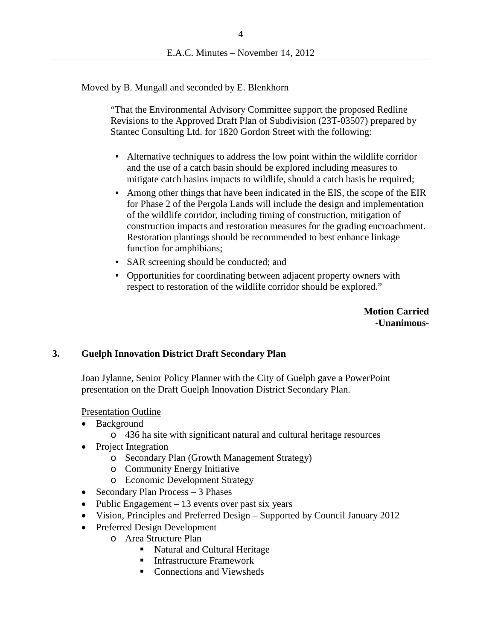Moved by B. Mungall and seconded by E. Blenkhorn

"That the Environmental Advisory Committee support the proposed Redline Revisions to the Approved Draft Plan of Subdivision (23T-03507) prepared by Stantec Consulting Ltd. for 1820 Gordon Street with the following:

- Alternative techniques to address the low point within the wildlife corridor and the use of a catch basin should be explored including measures to mitigate catch basins impacts to wildlife, should a catch basis be required;
- Among other things that have been indicated in the EIS, the scope of the EIR for Phase 2 of the Pergola Lands will include the design and implementation of the wildlife corridor, including timing of construction, mitigation of construction impacts and restoration measures for the grading encroachment. Restoration plantings should be recommended to best enhance linkage function for amphibians;
- SAR screening should be conducted; and
- Opportunities for coordinating between adjacent property owners with respect to restoration of the wildlife corridor should be explored."

**Motion Carried -Unanimous-**

### **3. Guelph Innovation District Draft Secondary Plan**

Joan Jylanne, Senior Policy Planner with the City of Guelph gave a PowerPoint presentation on the Draft Guelph Innovation District Secondary Plan.

#### Presentation Outline

- Background
	- o 436 ha site with significant natural and cultural heritage resources
- Project Integration
	- o Secondary Plan (Growth Management Strategy)
	- o Community Energy Initiative
	- o Economic Development Strategy
- Secondary Plan Process 3 Phases
- Public Engagement  $-13$  events over past six years
- Vision, Principles and Preferred Design Supported by Council January 2012
- Preferred Design Development
	- o Area Structure Plan
		- Natural and Cultural Heritage
		- **Infrastructure Framework**
		- Connections and Viewsheds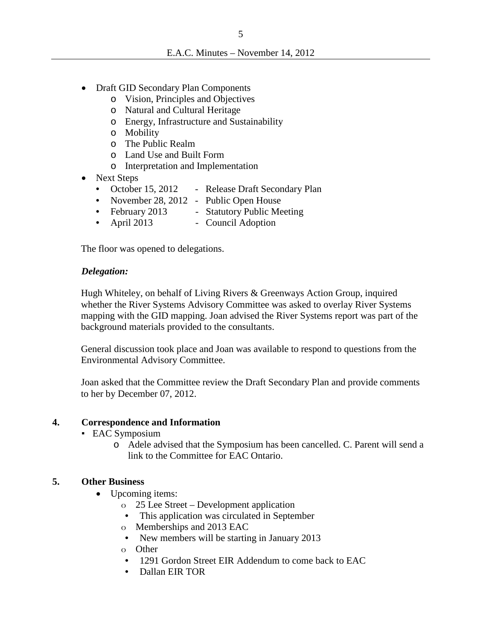- Draft GID Secondary Plan Components
	- o Vision, Principles and Objectives
	- o Natural and Cultural Heritage
	- o Energy, Infrastructure and Sustainability
	- o Mobility
	- o The Public Realm
	- o Land Use and Built Form
	- o Interpretation and Implementation
- Next Steps
	- October 15, 2012 Release Draft Secondary Plan
	- November 28, 2012 Public Open House
	- February 2013 Statutory Public Meeting
	- April 2013 Council Adoption

The floor was opened to delegations.

### *Delegation:*

Hugh Whiteley, on behalf of Living Rivers & Greenways Action Group, inquired whether the River Systems Advisory Committee was asked to overlay River Systems mapping with the GID mapping. Joan advised the River Systems report was part of the background materials provided to the consultants.

General discussion took place and Joan was available to respond to questions from the Environmental Advisory Committee.

Joan asked that the Committee review the Draft Secondary Plan and provide comments to her by December 07, 2012.

### **4. Correspondence and Information**

- EAC Symposium
	- o Adele advised that the Symposium has been cancelled. C. Parent will send a link to the Committee for EAC Ontario.

### **5. Other Business**

- Upcoming items:
	- o 25 Lee Street Development application
	- This application was circulated in September
	- o Memberships and 2013 EAC
	- New members will be starting in January 2013
	- o Other
	- 1291 Gordon Street EIR Addendum to come back to EAC
	- Dallan EIR TOR